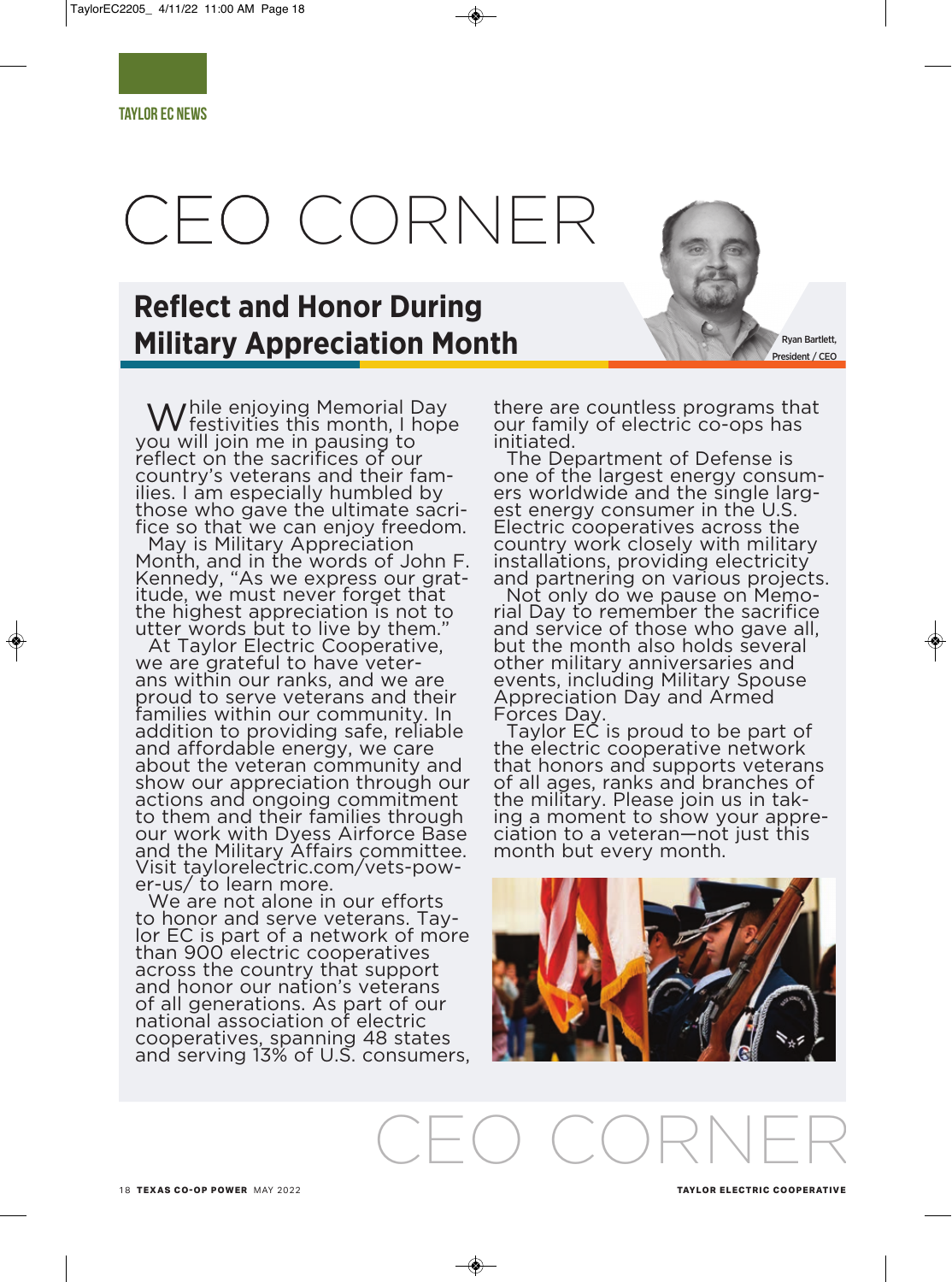# CEO CORNER

# **Reflect and Honor During Military Appreciation Month**

While enjoying Memorial Day<br>W festivities this month, I hope you will join me in pausing to reflect on the sacrifices of our country's veterans and their families. I am especially humbled by those who gave the ultimate sacrifice so that we can enjoy freedom.

May is Military Appreciation Month, and in the words of John F. Kennedy, "As we express our gratitude, we must never forget that the highest appreciation is not to utter words but to live by them."

At Taylor Electric Cooperative, we are grateful to have veterans within our ranks, and we are proud to serve veterans and their families within our community. In addition to providing safe, reliable and affordable energy, we care about the veteran community and show our appreciation through our actions and ongoing commitment to them and their families through our work with Dyess Airforce Base and the Military Affairs committee. Visit taylorelectric.com/vets-power-us/ to learn more.

We are not alone in our efforts to honor and serve veterans. Taylor EC is part of a network of more than 900 electric cooperatives across the country that support and honor our nation's veterans of all generations. As part of our national association of electric cooperatives, spanning 48 states and serving 13% of U.S. consumers,

there are countless programs that our family of electric co-ops has initiated.

The Department of Defense is one of the largest energy consumers worldwide and the single largest energy consumer in the U.S. Electric cooperatives across the country work closely with military installations, providing electricity and partnering on various projects.

Not only do we pause on Memorial Day to remember the sacrifice and service of those who gave all, but the month also holds several other military anniversaries and events, including Military Spouse Appreciation Day and Armed Forces Day.

Taylor EC is proud to be part of the electric cooperative network that honors and supports veterans of all ages, ranks and branches of the military. Please join us in taking a moment to show your appreciation to a veteran—not just this month but every month.



CEO CORNER

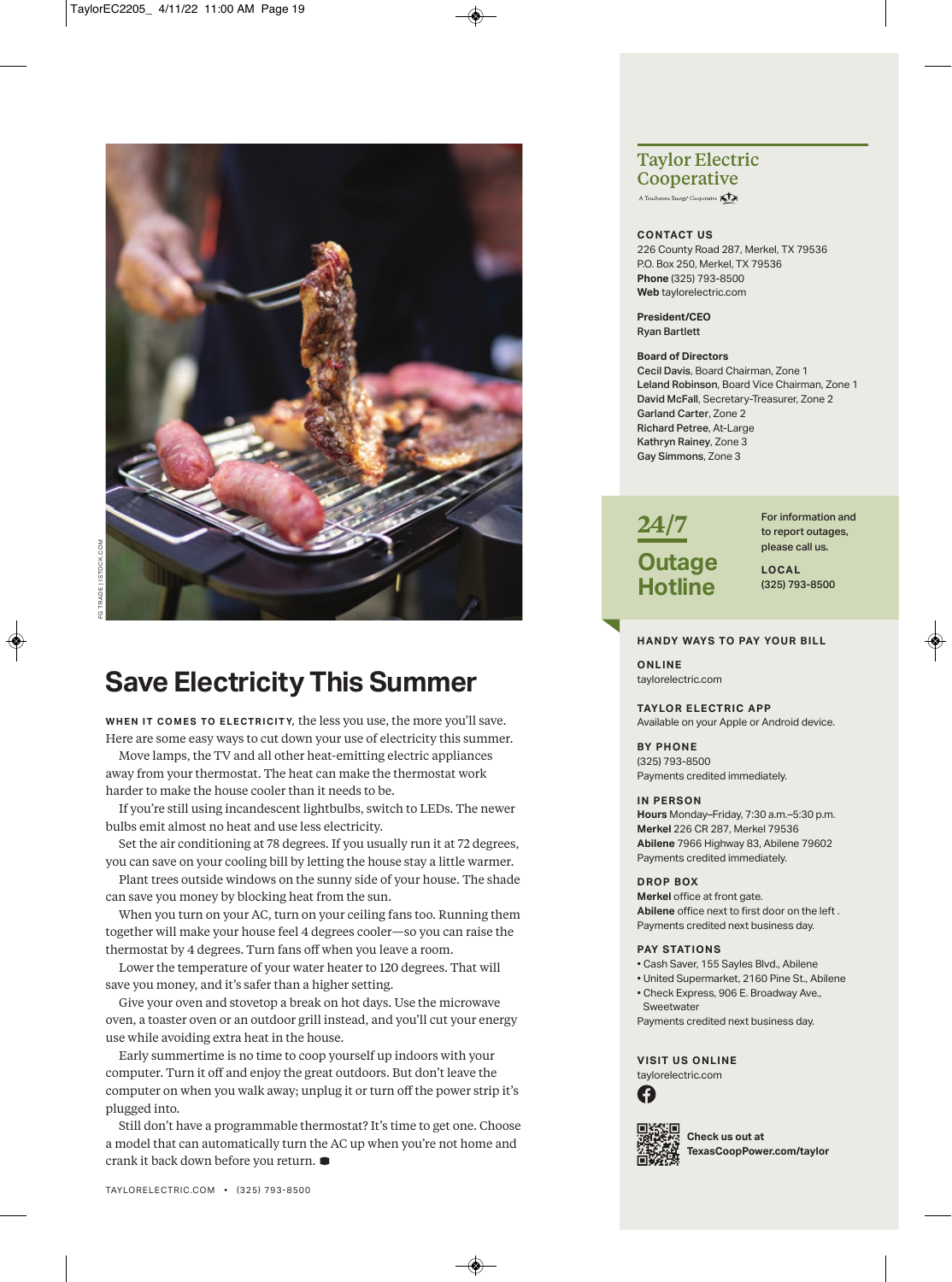

## **Save Electricity This Summer**

**WHEN IT COMES TO ELECTRICITY, the less you use, the more you'll save.** Here are some easy ways to cut down your use of electricity this summer.

Move lamps, the TV and all other heat-emitting electric appliances away from your thermostat. The heat can make the thermostat work harder to make the house cooler than it needs to be.

If you're still using incandescent lightbulbs, switch to LEDs. The newer bulbs emit almost no heat and use less electricity.

Set the air conditioning at 78 degrees. If you usually run it at 72 degrees, you can save on your cooling bill by letting the house stay a little warmer.

Plant trees outside windows on the sunny side of your house. The shade can save you money by blocking heat from the sun.

When you turn on your AC, turn on your ceiling fans too. Running them together will make your house feel 4 degrees cooler—so you can raise the thermostat by 4 degrees. Turn fans off when you leave a room.

Lower the temperature of your water heater to 120 degrees. That will save you money, and it's safer than a higher setting.

Give your oven and stovetop a break on hot days. Use the microwave oven, a toaster oven or an outdoor grill instead, and you'll cut your energy use while avoiding extra heat in the house.

Early summertime is no time to coop yourself up indoors with your computer. Turn it off and enjoy the great outdoors. But don't leave the computer on when you walk away; unplug it or turn off the power strip it's plugged into.

Still don't have a programmable thermostat? It's time to get one. Choose a model that can automatically turn the AC up when you're not home and crank it back down before you return. **D**

## **Taylor Electric Cooperative**

A Touchstone Energy<sup>®</sup> Cooperative

### **contact Us**

226 County Road 287, Merkel, TX 79536 P.O. Box 250, Merkel, TX 79536 **Phone** (325) 793-8500 **Web** taylorelectric.com

**President/ceo**  Ryan Bartlett

### **Board of Directors**

Cecil Davis, Board chairman, Zone 1 Leland Robinson, Board Vice chairman, Zone 1 David McFall, Secretary-Treasurer, Zone 2 Garland Carter, Zone 2 Richard Petree, at-Large Kathryn Rainey, Zone 3 Gay Simmons, Zone 3



For information and to report outages, please call us.

**local** (325) 793-8500

## **hanDy Ways to Pay yoUr Bill**

**online** taylorelectric.com

**taylor electric aPP**  Available on your Apple or Android device.

**By Phone**  (325) 793-8500 Payments credited immediately.

#### **in Person**

**hours** monday–Friday, 7:30 a.m.–5:30 p.m. **Merkel** 226 CR 287, Merkel 79536 **abilene** 7966 Highway 83, abilene 79602 Payments credited immediately.

### **DroP Box**

**merkel** office at front gate. **abilene** office next to first door on the left . Payments credited next business day.

#### **PAY STATIONS**

- cash Saver, 155 Sayles Blvd., abilene
- United Supermarket, 2160 Pine St., abilene
- Check Express, 906 E. Broadway Ave., **Sweetwater**
- Payments credited next business day.

**Visit Us online** taylorelectric.com





**check us out at texascoopPower.com/taylor**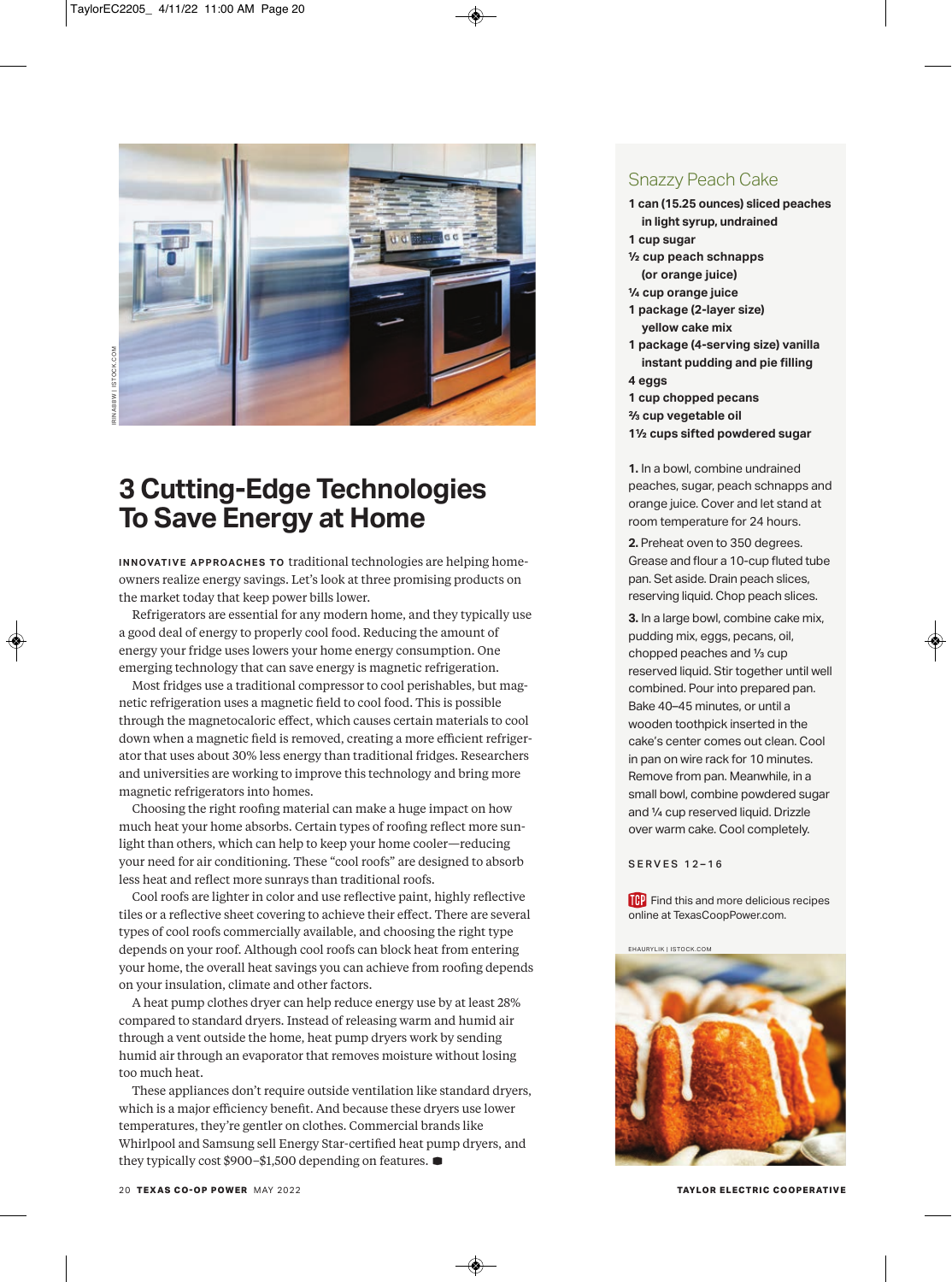

## **3 Cutting-Edge Technologies To Save Energy at Home**

**INNOVATIVE APPROACHES TO traditional technologies are helping home**owners realize energy savings. Let's look at three promising products on the market today that keep power bills lower.

Refrigerators are essential for any modern home, and they typically use a good deal of energy to properly cool food. Reducing the amount of energy your fridge uses lowers your home energy consumption. One emerging technology that can save energy is magnetic refrigeration.

Most fridges use a traditional compressor to cool perishables, but magnetic refrigeration uses a magnetic field to cool food. This is possible through the magnetocaloric effect, which causes certain materials to cool down when a magnetic field is removed, creating a more efficient refrigerator that uses about 30% less energy than traditional fridges. Researchers and universities are working to improve this technology and bring more magnetic refrigerators into homes.

Choosing the right roofing material can make a huge impact on how much heat your home absorbs. Certain types of roofing reflect more sunlight than others, which can help to keep your home cooler—reducing your need for air conditioning. These "cool roofs" are designed to absorb less heat and reflect more sunrays than traditional roofs.

Cool roofs are lighter in color and use reflective paint, highly reflective tiles or a reflective sheet covering to achieve their effect. There are several types of cool roofs commercially available, and choosing the right type depends on your roof. Although cool roofs can block heat from entering your home, the overall heat savings you can achieve from roofing depends on your insulation, climate and other factors.

A heat pump clothes dryer can help reduce energy use by at least 28% compared to standard dryers. Instead of releasing warm and humid air through a vent outside the home, heat pump dryers work by sending humid air through an evaporator that removes moisture without losing too much heat.

These appliances don't require outside ventilation like standard dryers, which is a major efficiency benefit. And because these dryers use lower temperatures, they're gentler on clothes. Commercial brands like Whirlpool and Samsung sell Energy Star-certified heat pump dryers, and they typically cost \$900–\$1,500 depending on features. **D**

## Snazzy Peach Cake

**1 can (15.25 ounces) sliced peaches in light syrup, undrained 1 cup sugar ½ cup peach schnapps (or orange juice) ¼ cup orange juice 1 package (2-layer size) yellow cake mix 1 package (4-serving size) vanilla instant pudding and pie filling 4 eggs 1 cup chopped pecans ⅔ cup vegetable oil 1½ cups sifted powdered sugar**

**1.** In a bowl, combine undrained peaches, sugar, peach schnapps and orange juice. cover and let stand at room temperature for 24 hours.

**2.** Preheat oven to 350 degrees. Grease and flour a 10-cup fluted tube pan. Set aside. Drain peach slices, reserving liquid. chop peach slices.

**3.** In a large bowl, combine cake mix, pudding mix, eggs, pecans, oil, chopped peaches and ⅓ cup reserved liquid. Stir together until well combined. Pour into prepared pan. Bake 40–45 minutes, or until a wooden toothpick inserted in the cake's center comes out clean. Cool in pan on wire rack for 10 minutes. Remove from pan. Meanwhile, in a small bowl, combine powdered sugar and ¼ cup reserved liquid. Drizzle over warm cake. Cool completely.

## SERVES 12-16

**Find this and more delicious recipes** online at TexasCoopPower.com.

#### EhaurylIk | IStock .com